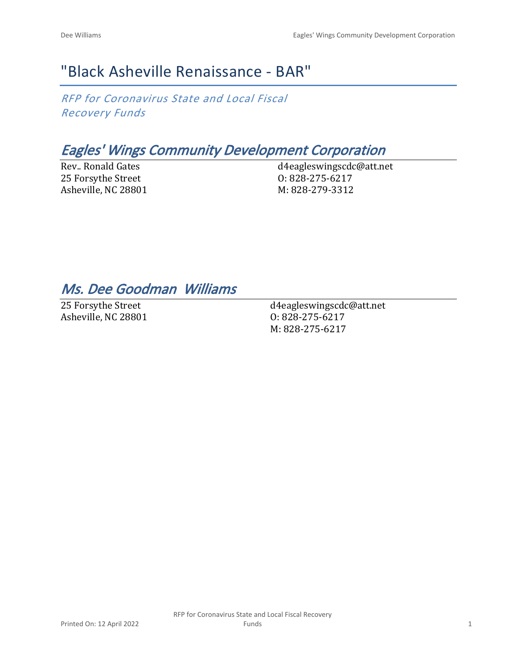## "Black Asheville Renaissance - BAR"

*RFP for Coronavirus State and Local Fiscal Recovery Funds*

## *Eagles' Wings Community Development Corporation*

Rev.. Ronald Gates 25 Forsythe Street Asheville, NC 28801 d4eagleswingscdc@att.net O: 828-275-6217 M: 828-279-3312

## *Ms. Dee Goodman Williams*

25 Forsythe Street Asheville, NC 28801

d4eagleswingscdc@att.net O: 828-275-6217 M: 828-275-6217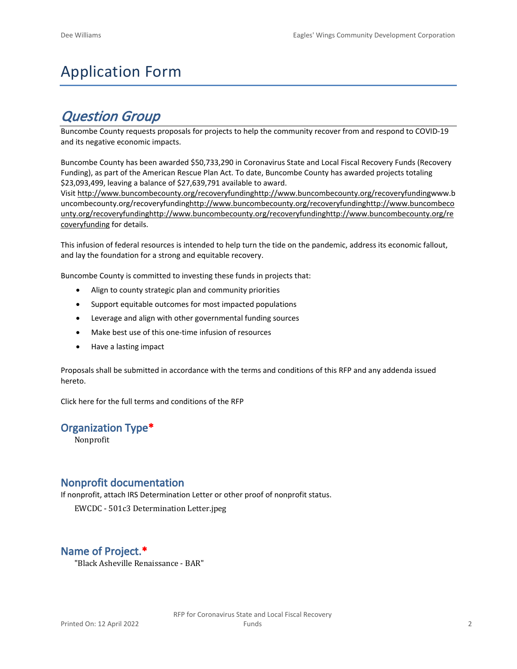# Application Form

## *Question Group*

Buncombe County requests proposals for projects to help the community recover from and respond to COVID-19 and its negative economic impacts.

Buncombe County has been awarded \$50,733,290 in Coronavirus State and Local Fiscal Recovery Funds (Recovery Funding), as part of the American Rescue Plan Act. To date, Buncombe County has awarded projects totaling \$23,093,499, leaving a balance of \$27,639,791 available to award.

Visit [http://www.buncombecounty.org/recoveryfundinghttp://www.buncombecounty.org/recoveryfundingwww.b](http://www.buncombecounty.org/recoveryfunding) [uncombecounty.org/recoveryfundinghttp://www.buncombecounty.org/recoveryfundinghttp://www.buncombeco](http://www.buncombecounty.org/recoveryfunding) [unty.org/recoveryfundinghttp://www.buncombecounty.org/recoveryfundinghttp://www.buncombecounty.org/re](http://www.buncombecounty.org/recoveryfunding) [coveryfunding](http://www.buncombecounty.org/recoveryfunding) for details.

This infusion of federal resources is intended to help turn the tide on the pandemic, address its economic fallout, and lay the foundation for a strong and equitable recovery.

Buncombe County is committed to investing these funds in projects that:

- Align to county strategic plan and community priorities
- Support equitable outcomes for most impacted populations
- Leverage and align with other governmental funding sources
- Make best use of this one-time infusion of resources
- Have a lasting impact

Proposals shall be submitted in accordance with the terms and conditions of this RFP and any addenda issued hereto.

Click [here](https://www.buncombecounty.org/common/purchasing/Buncombe%20Recovery%20Funding%20RFP%202022.pdf) for the full terms and conditions of the RFP

### **Organization Type\***

Nonprofit

### **Nonprofit documentation**

If nonprofit, attach IRS Determination Letter or other proof of nonprofit status.

EWCDC - 501c3 Determination Letter.jpeg

## **Name of Project.\***

"Black Asheville Renaissance - BAR"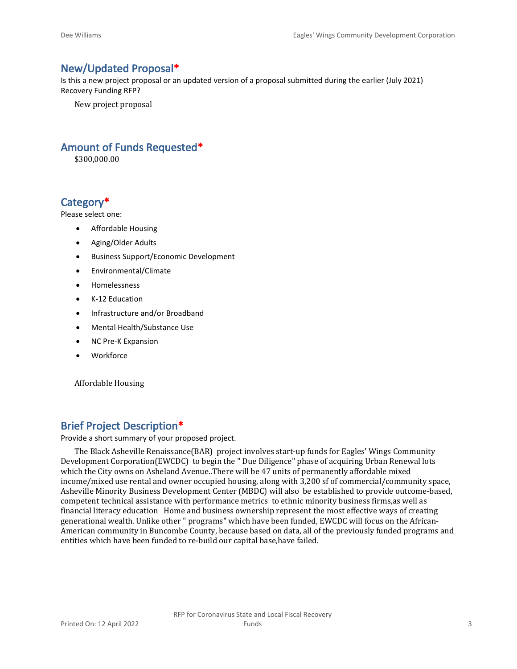### **New/Updated Proposal\***

Is this a new project proposal or an updated version of a proposal submitted during the earlier (July 2021) Recovery Funding RFP?

New project proposal

## **Amount of Funds Requested\***

\$300,000.00

## **Category\***

Please select one:

- Affordable Housing
- Aging/Older Adults
- Business Support/Economic Development
- Environmental/Climate
- Homelessness
- K-12 Education
- Infrastructure and/or Broadband
- Mental Health/Substance Use
- NC Pre-K Expansion
- Workforce

Affordable Housing

## **Brief Project Description\***

Provide a short summary of your proposed project.

The Black Asheville Renaissance(BAR) project involves start-up funds for Eagles' Wings Community Development Corporation(EWCDC) to begin the " Due Diligence" phase of acquiring Urban Renewal lots which the City owns on Asheland Avenue..There will be 47 units of permanently affordable mixed income/mixed use rental and owner occupied housing, along with 3,200 sf of commercial/community space, Asheville Minority Business Development Center (MBDC) will also be established to provide outcome-based, competent technical assistance with performance metrics to ethnic minority business firms,as well as financial literacy education Home and business ownership represent the most effective ways of creating generational wealth. Unlike other " programs" which have been funded, EWCDC will focus on the African-American community in Buncombe County, because based on data, all of the previously funded programs and entities which have been funded to re-build our capital base,have failed.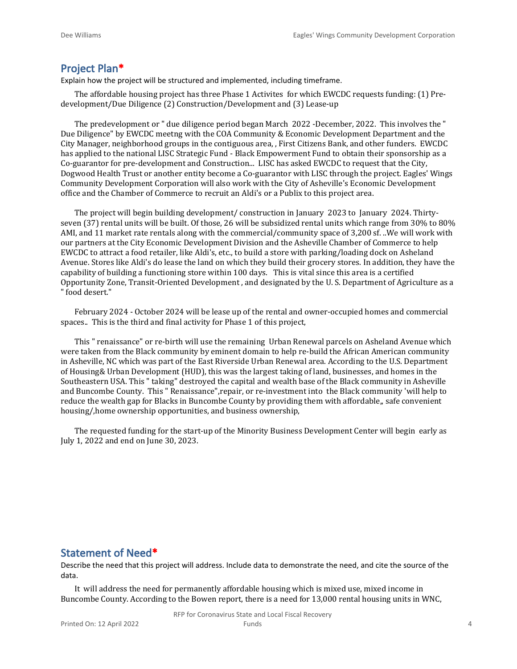#### **Project Plan\***

Explain how the project will be structured and implemented, including timeframe.

The affordable housing project has three Phase 1 Activites for which EWCDC requests funding: (1) Predevelopment/Due Diligence (2) Construction/Development and (3) Lease-up

The predevelopment or " due diligence period began March 2022 -December, 2022. This involves the " Due Diligence" by EWCDC meetng with the COA Community & Economic Development Department and the City Manager, neighborhood groups in the contiguous area, , First Citizens Bank, and other funders. EWCDC has applied to the national LISC Strategic Fund - Black Empowerment Fund to obtain their sponsorship as a Co-guarantor for pre-development and Construction... LISC has asked EWCDC to request that the City, Dogwood Health Trust or another entity become a Co-guarantor with LISC through the project. Eagles' Wings Community Development Corporation will also work with the City of Asheville's Economic Development office and the Chamber of Commerce to recruit an Aldi's or a Publix to this project area.

The project will begin building development/ construction in January 2023 to January 2024. Thirtyseven (37) rental units will be built. Of those, 26 will be subsidized rental units which range from 30% to 80% AMI, and 11 market rate rentals along with the commercial/community space of 3,200 sf. ..We will work with our partners at the City Economic Development Division and the Asheville Chamber of Commerce to help EWCDC to attract a food retailer, like Aldi's, etc., to build a store with parking/loading dock on Asheland Avenue. Stores like Aldi's do lease the land on which they build their grocery stores. In addition, they have the capability of building a functioning store within 100 days. This is vital since this area is a certified Opportunity Zone, Transit-Oriented Development , and designated by the U. S. Department of Agriculture as a " food desert."

February 2024 - October 2024 will be lease up of the rental and owner-occupied homes and commercial spaces.. This is the third and final activity for Phase 1 of this project,

This " renaissance" or re-birth will use the remaining Urban Renewal parcels on Asheland Avenue which were taken from the Black community by eminent domain to help re-build the African American community in Asheville, NC which was part of the East Riverside Urban Renewal area. According to the U.S. Department of Housing& Urban Development (HUD), this was the largest taking of land, businesses, and homes in the Southeastern USA. This " taking" destroyed the capital and wealth base of the Black community in Asheville and Buncombe County. This " Renaissance",repair, or re-investment into the Black community 'will help to reduce the wealth gap for Blacks in Buncombe County by providing them with affordable,, safe convenient housing/,home ownership opportunities, and business ownership,

The requested funding for the start-up of the Minority Business Development Center will begin early as July 1, 2022 and end on June 30, 2023.

#### **Statement of Need\***

Describe the need that this project will address. Include data to demonstrate the need, and cite the source of the data.

It will address the need for permanently affordable housing which is mixed use, mixed income in Buncombe County. According to the Bowen report, there is a need for 13,000 rental housing units in WNC,

RFP for Coronavirus State and Local Fiscal Recovery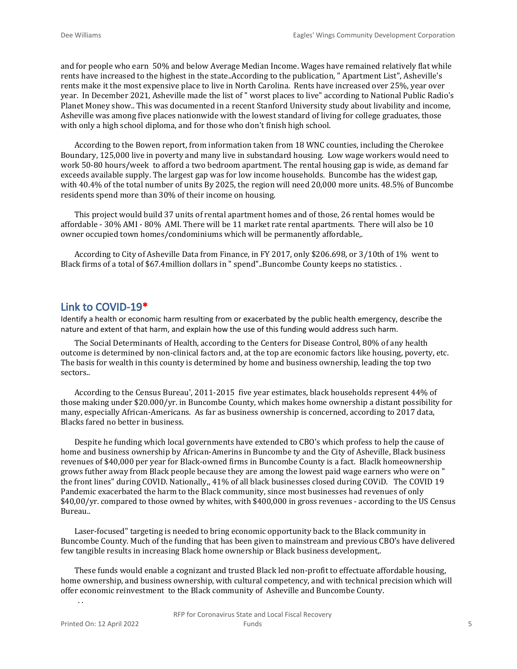and for people who earn 50% and below Average Median Income. Wages have remained relatively flat while rents have increased to the highest in the state..According to the publication, " Apartment List", Asheville's rents make it the most expensive place to live in North Carolina. Rents have increased over 25%, year over year. In December 2021, Asheville made the list of " worst places to live" according to National Public Radio's Planet Money show.. This was documented in a recent Stanford University study about livability and income, Asheville was among five places nationwide with the lowest standard of living for college graduates, those with only a high school diploma, and for those who don't finish high school.

According to the Bowen report, from information taken from 18 WNC counties, including the Cherokee Boundary, 125,000 live in poverty and many live in substandard housing. Low wage workers would need to work 50-80 hours/week to afford a two bedroom apartment. The rental housing gap is wide, as demand far exceeds available supply. The largest gap was for low income households. Buncombe has the widest gap, with 40.4% of the total number of units By 2025, the region will need 20,000 more units. 48.5% of Buncombe residents spend more than 30% of their income on housing.

This project would build 37 units of rental apartment homes and of those, 26 rental homes would be affordable - 30% AMI - 80% AMI. There will be 11 market rate rental apartments. There will also be 10 owner occupied town homes/condominiums which will be permanently affordable,.

According to City of Asheville Data from Finance, in FY 2017, only \$206.698, or 3/10th of 1% went to Black firms of a total of \$67.4million dollars in " spend"..Buncombe County keeps no statistics. .

#### **Link to COVID-19\***

Identify a health or economic harm resulting from or exacerbated by the public health emergency, describe the nature and extent of that harm, and explain how the use of this funding would address such harm.

The Social Determinants of Health, according to the Centers for Disease Control, 80% of any health outcome is determined by non-clinical factors and, at the top are economic factors like housing, poverty, etc. The basis for wealth in this county is determined by home and business ownership, leading the top two sectors..

According to the Census Bureau', 2011-2015 five year estimates, black households represent 44% of those making under \$20.000/yr. in Buncombe County, which makes home ownership a distant possibility for many, especially African-Americans. As far as business ownership is concerned, according to 2017 data, Blacks fared no better in business.

Despite he funding which local governments have extended to CBO's which profess to help the cause of home and business ownership by African-Amerins in Buncombe ty and the City of Asheville, Black business revenues of \$40,000 per year for Black-owned firms in Buncombe County is a fact. Blaclk homeownership grows futher away from Black people because they are among the lowest paid wage earners who were on " the front lines" during COVID. Nationally,, 41% of all black businesses closed during COViD. The COVID 19 Pandemic exacerbated the harm to the Black community, since most businesses had revenues of only \$40,00/yr. compared to those owned by whites, with \$400,000 in gross revenues - according to the US Census Bureau..

Laser-focused" targeting is needed to bring economic opportunity back to the Black community in Buncombe County. Much of the funding that has been given to mainstream and previous CBO's have delivered few tangible results in increasing Black home ownership or Black business development,.

These funds would enable a cognizant and trusted Black led non-profit to effectuate affordable housing, home ownership, and business ownership, with cultural competency, and with technical precision which will offer economic reinvestment to the Black community of Asheville and Buncombe County.

Printed On: 12 April 2022

. .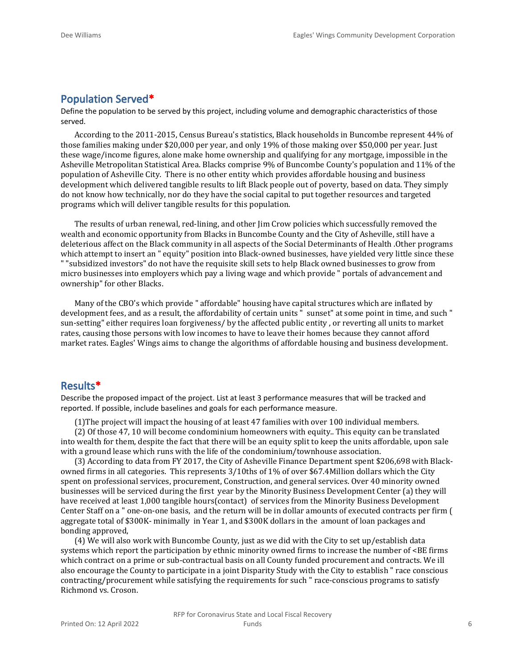## **Population Served\***

Define the population to be served by this project, including volume and demographic characteristics of those served.

According to the 2011-2015, Census Bureau's statistics, Black households in Buncombe represent 44% of those families making under \$20,000 per year, and only 19% of those making over \$50,000 per year. Just these wage/income figures, alone make home ownership and qualifying for any mortgage, impossible in the Asheville Metropolitan Statistical Area. Blacks comprise 9% of Buncombe County's population and 11% of the population of Asheville City. There is no other entity which provides affordable housing and business development which delivered tangible results to lift Black people out of poverty, based on data. They simply do not know how technically, nor do they have the social capital to put together resources and targeted programs which will deliver tangible results for this population.

The results of urban renewal, red-lining, and other Jim Crow policies which successfully removed the wealth and economic opportunity from Blacks in Buncombe County and the City of Asheville, still have a deleterious affect on the Black community in all aspects of the Social Determinants of Health .Other programs which attempt to insert an " equity" position into Black-owned businesses, have yielded very little since these " "subsidized investors" do not have the requisite skill sets to help Black owned businesses to grow from micro businesses into employers which pay a living wage and which provide " portals of advancement and ownership" for other Blacks.

Many of the CBO's which provide " affordable" housing have capital structures which are inflated by development fees, and as a result, the affordability of certain units " sunset" at some point in time, and such " sun-setting" either requires loan forgiveness/ by the affected public entity , or reverting all units to market rates, causing those persons with low incomes to have to leave their homes because they cannot afford market rates. Eagles' Wings aims to change the algorithms of affordable housing and business development.

#### **Results\***

Describe the proposed impact of the project. List at least 3 performance measures that will be tracked and reported. If possible, include baselines and goals for each performance measure.

(1)The project will impact the housing of at least 47 families with over 100 individual members.

(2) Of those 47, 10 will become condominium homeowners with equity.. This equity can be translated into wealth for them, despite the fact that there will be an equity split to keep the units affordable, upon sale with a ground lease which runs with the life of the condominium/townhouse association.

(3) According to data from FY 2017, the City of Asheville Finance Department spent \$206,698 with Blackowned firms in all categories. This represents 3/10ths of 1% of over \$67.4Million dollars which the City spent on professional services, procurement, Construction, and general services. Over 40 minority owned businesses will be serviced during the first year by the Minority Business Development Center (a) they will have received at least 1,000 tangible hours(contact) of services from the Minority Business Development Center Staff on a " one-on-one basis, and the return will be in dollar amounts of executed contracts per firm ( aggregate total of \$300K- minimally in Year 1, and \$300K dollars in the amount of loan packages and bonding approved,

(4) We will also work with Buncombe County, just as we did with the City to set up/establish data systems which report the participation by ethnic minority owned firms to increase the number of <BE firms which contract on a prime or sub-contractual basis on all County funded procurement and contracts. We ill also encourage the County to participate in a joint Disparity Study with the City to establish " race conscious contracting/procurement while satisfying the requirements for such " race-conscious programs to satisfy Richmond vs. Croson.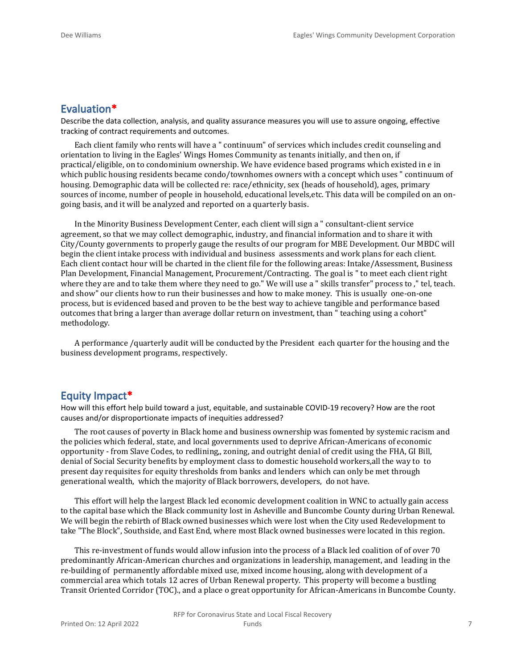#### **Evaluation\***

Describe the data collection, analysis, and quality assurance measures you will use to assure ongoing, effective tracking of contract requirements and outcomes.

Each client family who rents will have a " continuum" of services which includes credit counseling and orientation to living in the Eagles' Wings Homes Community as tenants initially, and then on, if practical/eligible, on to condominium ownership. We have evidence based programs which existed in e in which public housing residents became condo/townhomes owners with a concept which uses " continuum of housing. Demographic data will be collected re: race/ethnicity, sex (heads of household), ages, primary sources of income, number of people in household, educational levels,etc. This data will be compiled on an ongoing basis, and it will be analyzed and reported on a quarterly basis.

In the Minority Business Development Center, each client will sign a " consultant-client service agreement, so that we may collect demographic, industry, and financial information and to share it with City/County governments to properly gauge the results of our program for MBE Development. Our MBDC will begin the client intake process with individual and business assessments and work plans for each client. Each client contact hour will be charted in the client file for the following areas: Intake/Assessment, Business Plan Development, Financial Management, Procurement/Contracting. The goal is " to meet each client right where they are and to take them where they need to go." We will use a " skills transfer" process to ," tel, teach. and show" our clients how to run their businesses and how to make money. This is usually one-on-one process, but is evidenced based and proven to be the best way to achieve tangible and performance based outcomes that bring a larger than average dollar return on investment, than " teaching using a cohort" methodology.

A performance /quarterly audit will be conducted by the President each quarter for the housing and the business development programs, respectively.

#### **Equity Impact\***

How will this effort help build toward a just, equitable, and sustainable COVID-19 recovery? How are the root causes and/or disproportionate impacts of inequities addressed?

The root causes of poverty in Black home and business ownership was fomented by systemic racism and the policies which federal, state, and local governments used to deprive African-Americans of economic opportunity - from Slave Codes, to redlining,, zoning, and outright denial of credit using the FHA, GI Bill, denial of Social Security benefits by employment class to domestic household workers,all the way to to present day requisites for equity thresholds from banks and lenders which can only be met through generational wealth, which the majority of Black borrowers, developers, do not have.

This effort will help the largest Black led economic development coalition in WNC to actually gain access to the capital base which the Black community lost in Asheville and Buncombe County during Urban Renewal. We will begin the rebirth of Black owned businesses which were lost when the City used Redevelopment to take "The Block", Southside, and East End, where most Black owned businesses were located in this region.

This re-investment of funds would allow infusion into the process of a Black led coalition of of over 70 predominantly African-American churches and organizations in leadership, management, and leading in the re-building of permanently affordable mixed use, mixed income housing, along with development of a commercial area which totals 12 acres of Urban Renewal property. This property will become a bustling Transit Oriented Corridor (TOC)., and a place o great opportunity for African-Americans in Buncombe County.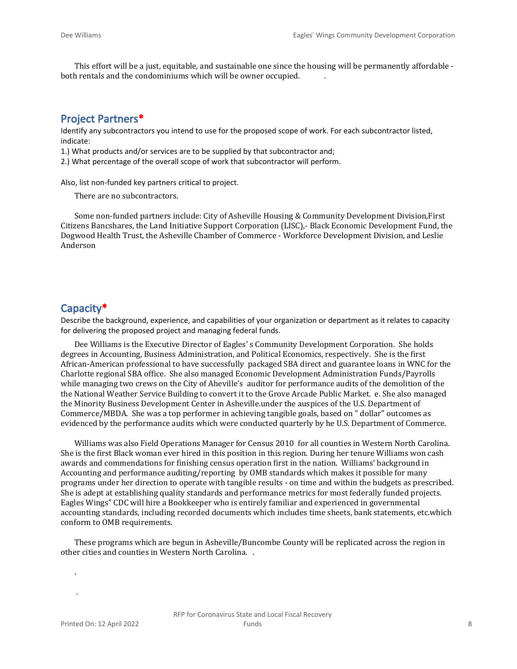This effort will be a just, equitable, and sustainable one since the housing will be permanently affordable both rentals and the condominiums which will be owner occupied. .

#### **Project Partners\***

Identify any subcontractors you intend to use for the proposed scope of work. For each subcontractor listed, indicate:

1.) What products and/or services are to be supplied by that subcontractor and;

2.) What percentage of the overall scope of work that subcontractor will perform.

Also, list non-funded key partners critical to project.

There are no subcontractors.

Some non-funded partners include: City of Asheville Housing & Community Development Division,First Citizens Bancshares, the Land Initiative Support Corporation (LISC),- Black Economic Development Fund, the Dogwood Health Trust, the Asheville Chamber of Commerce - Workforce Development Division, and Leslie Anderson

#### **Capacity\***

Describe the background, experience, and capabilities of your organization or department as it relates to capacity for delivering the proposed project and managing federal funds.

Dee Williams is the Executive Director of Eagles' s Community Development Corporation. She holds degrees in Accounting, Business Administration, and Political Economics, respectively. She is the first African-American professional to have successfully packaged SBA direct and guarantee loans in WNC for the Charlotte regional SBA office. She also managed Economic Development Administration Funds/Payrolls while managing two crews on the City of Aheville's auditor for performance audits of the demolition of the the National Weather Service Building to convert it to the Grove Arcade Public Market. e. She also managed the Minority Business Development Center in Asheville.under the auspices of the U.S. Department of Commerce/MBDA. She was a top performer in achieving tangible goals, based on " dollar" outcomes as evidenced by the performance audits which were conducted quarterly by he U.S. Department of Commerce.

Williams was also Field Operations Manager for Census 2010 for all counties in Western North Carolina. She is the first Black woman ever hired in this position in this region. During her tenure Williams won cash awards and commendations for finishing census operation first in the nation. Williams' background in Accounting and performance auditing/reporting by OMB standards which makes it possible for many programs under her direction to operate with tangible results - on time and within the budgets as prescribed. She is adept at establishing quality standards and performance metrics for most federally funded projects. Eagles Wings" CDC will hire a Bookkeeper who is entirely familiar and experienced in governmental accounting standards, including recorded documents which includes time sheets, bank statements, etc.which conform to OMB requirements.

These programs which are begun in Asheville/Buncombe County will be replicated across the region in other cities and counties in Western North Carolina. .

.

.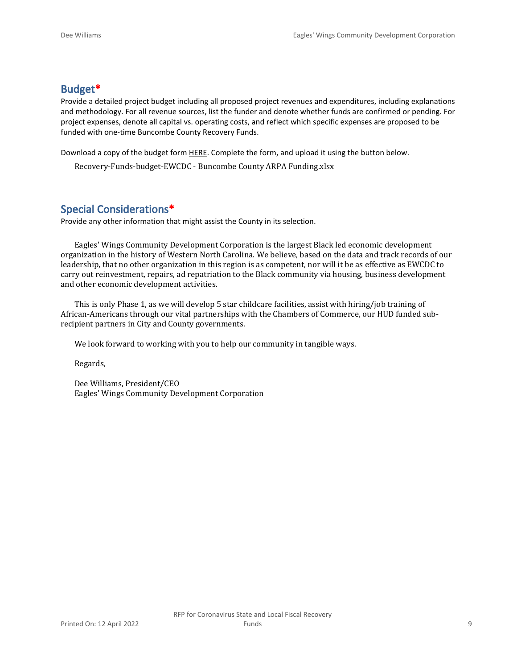## **Budget\***

Provide a detailed project budget including all proposed project revenues and expenditures, including explanations and methodology. For all revenue sources, list the funder and denote whether funds are confirmed or pending. For project expenses, denote all capital vs. operating costs, and reflect which specific expenses are proposed to be funded with one-time Buncombe County Recovery Funds.

Download a copy of the budget form [HERE](https://buncombecounty.org/common/community-investment/grants/early-childhood-education/Recovery-Funds-budget-template.xlsx). Complete the form, and upload it using the button below.

Recovery-Funds-budget-EWCDC - Buncombe County ARPA Funding.xlsx

## **Special Considerations\***

Provide any other information that might assist the County in its selection.

Eagles' Wings Community Development Corporation is the largest Black led economic development organization in the history of Western North Carolina. We believe, based on the data and track records of our leadership, that no other organization in this region is as competent, nor will it be as effective as EWCDC to carry out reinvestment, repairs, ad repatriation to the Black community via housing, business development and other economic development activities.

This is only Phase 1, as we will develop 5 star childcare facilities, assist with hiring/job training of African-Americans through our vital partnerships with the Chambers of Commerce, our HUD funded subrecipient partners in City and County governments.

We look forward to working with you to help our community in tangible ways.

Regards,

Dee Williams, President/CEO Eagles' Wings Community Development Corporation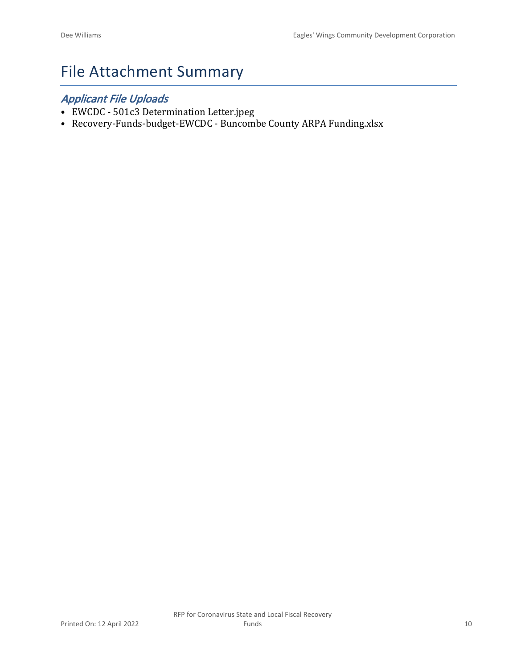# File Attachment Summary

## *Applicant File Uploads*

- EWCDC 501c3 Determination Letter.jpeg
- Recovery-Funds-budget-EWCDC Buncombe County ARPA Funding.xlsx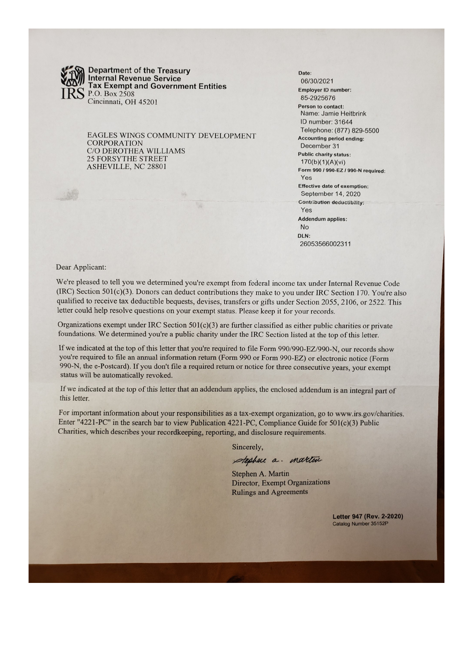

**Department of the Treasury** Internal Revenue Service<br>Tax Exempt and Government Entities P.O. Box 2508 Cincinnati, OH 45201

EAGLES WINGS COMMUNITY DEVELOPMENT **CORPORATION** C/O DEROTHEA WILLIAMS **25 FORSYTHE STREET** ASHEVILLE, NC 28801

Date: 06/30/2021 **Employer ID number:** 85-2925676 Person to contact: Name: Jamie Heitbrink ID number: 31644 Telephone: (877) 829-5500 **Accounting period ending:** December 31 **Public charity status:**  $170(b)(1)(A)(vi)$ Form 990 / 990-EZ / 990-N required: Yes **Effective date of exemption:** September 14, 2020 **Contribution deductibility:** Yes **Addendum applies:** No DLN: 26053566002311

Dear Applicant:

We're pleased to tell you we determined you're exempt from federal income tax under Internal Revenue Code (IRC) Section 501(c)(3). Donors can deduct contributions they make to you under IRC Section 170. You're also qualified to receive tax deductible bequests, devises, transfers or gifts under Section 2055, 2106, or 2522. This letter could help resolve questions on your exempt status. Please keep it for your records.

Organizations exempt under IRC Section  $501(c)(3)$  are further classified as either public charities or private foundations. We determined you're a public charity under the IRC Section listed at the top of this letter.

If we indicated at the top of this letter that you're required to file Form 990/990-EZ/990-N, our records show you're required to file an annual information return (Form 990 or Form 990-EZ) or electronic notice (Form 990-N, the e-Postcard). If you don't file a required return or notice for three consecutive years, your exempt status will be automatically revoked.

If we indicated at the top of this letter that an addendum applies, the enclosed addendum is an integral part of this letter.

For important information about your responsibilities as a tax-exempt organization, go to www.irs.gov/charities. Enter "4221-PC" in the search bar to view Publication 4221-PC, Compliance Guide for 501(c)(3) Public Charities, which describes your recordkeeping, reporting, and disclosure requirements.

Sincerely,

stephen a. martin

Stephen A. Martin **Director, Exempt Organizations Rulings and Agreements** 

> Letter 947 (Rev. 2-2020) Catalog Number 35152P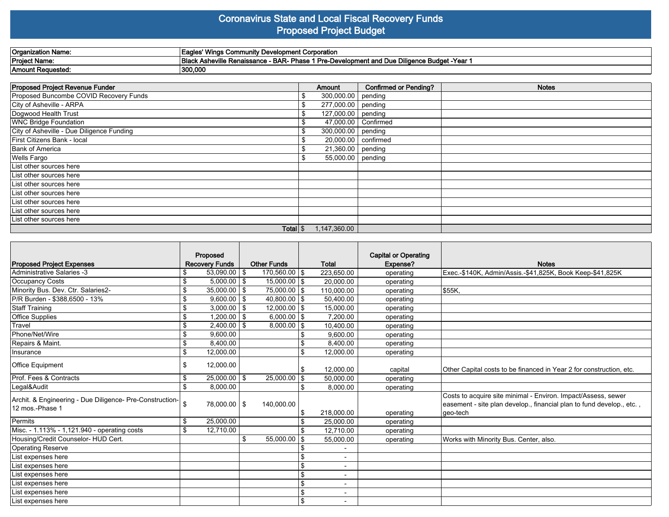#### **Coronavirus State and Local Fiscal Recovery Funds Proposed Project Budget**

| 'Organization Name:  | :' Winas Community Developmen<br>.ient Corporation<br>.eal<br>saur                                                           |
|----------------------|------------------------------------------------------------------------------------------------------------------------------|
| <b>Project Name:</b> | 3-Development and Due Diligence Budget -`<br><b>BAR-</b><br>-Year<br><b>IBlack Asheville Renaissance</b><br>Pre-D<br>Phase 1 |
| 'Amount Reauestea.   | 300,000                                                                                                                      |

| Proposed Project Revenue Funder           | Amount                      | <b>Confirmed or Pending?</b> | <b>Notes</b> |
|-------------------------------------------|-----------------------------|------------------------------|--------------|
| Proposed Buncombe COVID Recovery Funds    | 300,000.00 pending          |                              |              |
| City of Asheville - ARPA                  | 277,000.00 pending          |                              |              |
| Dogwood Health Trust                      | 127,000.00 pending          |                              |              |
| <b>WNC Bridge Foundation</b>              | \$<br>47,000.00   Confirmed |                              |              |
| City of Asheville - Due Diligence Funding | 300,000.00 pending          |                              |              |
| First Citizens Bank - local               | 20,000.00   confirmed       |                              |              |
| Bank of America                           | $\boxed{21,360.00}$ pending |                              |              |
| Wells Fargo                               | 55,000.00 pending           |                              |              |
| List other sources here                   |                             |                              |              |
| List other sources here                   |                             |                              |              |
| List other sources here                   |                             |                              |              |
| List other sources here                   |                             |                              |              |
| List other sources here                   |                             |                              |              |
| List other sources here                   |                             |                              |              |
| List other sources here                   |                             |                              |              |
| Total $\frac{1}{3}$                       | 1,147,360.00                |                              |              |

| <b>Proposed Project Expenses</b>                                            | Proposed<br><b>Recovery Funds</b> |      | <b>Other Funds</b> |                | Total                    | <b>Capital or Operating</b><br>Expense? | <b>Notes</b>                                                                                                                                       |
|-----------------------------------------------------------------------------|-----------------------------------|------|--------------------|----------------|--------------------------|-----------------------------------------|----------------------------------------------------------------------------------------------------------------------------------------------------|
| Administrative Salaries -3                                                  | \$<br>$53,090.00$   \$            |      | 170,560.00   \$    |                | 223,650.00               | operating                               | Exec.-\$140K, Admin/Assis.-\$41,825K, Book Keep-\$41,825K                                                                                          |
| Occupancy Costs                                                             | \$<br>$5,000.00$   \$             |      | $15,000.00$   \$   |                | 20.000.00                | operating                               |                                                                                                                                                    |
| Minority Bus. Dev. Ctr. Salaries2-                                          | \$<br>$35,000.00$   \$            |      | 75,000.00   \$     |                | 110,000.00               | operating                               | \$55K,                                                                                                                                             |
| P/R Burden - \$388.6500 - 13%                                               | \$<br>$9,600.00$   \$             |      | $40,800.00$ \\$    |                | 50,400.00                | operating                               |                                                                                                                                                    |
| Staff Training                                                              | \$<br>$3,000.00$   \$             |      | $12,000.00$ \\$    |                | 15,000.00                | operating                               |                                                                                                                                                    |
| Office Supplies                                                             | \$<br>$1,200.00$   \$             |      | $6,000.00$ \\$     |                | 7.200.00                 | operating                               |                                                                                                                                                    |
| Travel                                                                      | \$<br>2,400.00                    | l \$ | $8,000.00$ \\$     |                | 10,400.00                | operating                               |                                                                                                                                                    |
| Phone/Net/Wire                                                              | \$<br>9,600.00                    |      |                    |                | 9,600.00                 | operating                               |                                                                                                                                                    |
| Repairs & Maint.                                                            | \$<br>8,400.00                    |      |                    |                | 8,400.00                 | operating                               |                                                                                                                                                    |
| Insurance                                                                   | \$<br>12,000.00                   |      |                    | \$.            | 12,000.00                | operating                               |                                                                                                                                                    |
| Office Equipment                                                            | \$<br>12,000.00                   |      |                    |                | 12,000.00                | capital                                 | Other Capital costs to be financed in Year 2 for construction, etc.                                                                                |
| Prof. Fees & Contracts                                                      | \$<br>$25,000.00$ \$              |      | $25,000.00$ \\$    |                | 50,000.00                | operating                               |                                                                                                                                                    |
| Legal&Audit                                                                 | \$<br>8,000.00                    |      |                    |                | 8.000.00                 | operating                               |                                                                                                                                                    |
| Archit. & Engineering - Due Diligence- Pre-Construction-<br>12 mos.-Phase 1 | 78,000.00   \$                    |      | 140,000.00         | \$             | 218,000.00               | operating                               | Costs to acquire site minimal - Environ. Impact/Assess, sewer<br>easement - site plan develop., financial plan to fund develop., etc.,<br>geo-tech |
| Permits                                                                     | \$<br>25,000.00                   |      |                    |                | 25.000.00                | operating                               |                                                                                                                                                    |
| Misc. - 1.113% - 1,121.940 - operating costs                                | \$<br>12,710.00                   |      |                    | $\mathfrak{L}$ | 12.710.00                | operating                               |                                                                                                                                                    |
| Housing/Credit Counselor- HUD Cert.                                         |                                   | \$   | $55,000.00$ \\$    |                | 55,000.00                | operating                               | Works with Minority Bus. Center, also.                                                                                                             |
| Operating Reserve                                                           |                                   |      |                    |                |                          |                                         |                                                                                                                                                    |
| List expenses here                                                          |                                   |      |                    |                | $\blacksquare$           |                                         |                                                                                                                                                    |
| List expenses here                                                          |                                   |      |                    |                | $\overline{a}$           |                                         |                                                                                                                                                    |
| List expenses here                                                          |                                   |      |                    |                | $\overline{\phantom{a}}$ |                                         |                                                                                                                                                    |
| List expenses here                                                          |                                   |      |                    | \$             | $\overline{\phantom{0}}$ |                                         |                                                                                                                                                    |
| List expenses here                                                          |                                   |      |                    |                | $\overline{\phantom{a}}$ |                                         |                                                                                                                                                    |
| List expenses here                                                          |                                   |      |                    | \$             | $\overline{\phantom{0}}$ |                                         |                                                                                                                                                    |